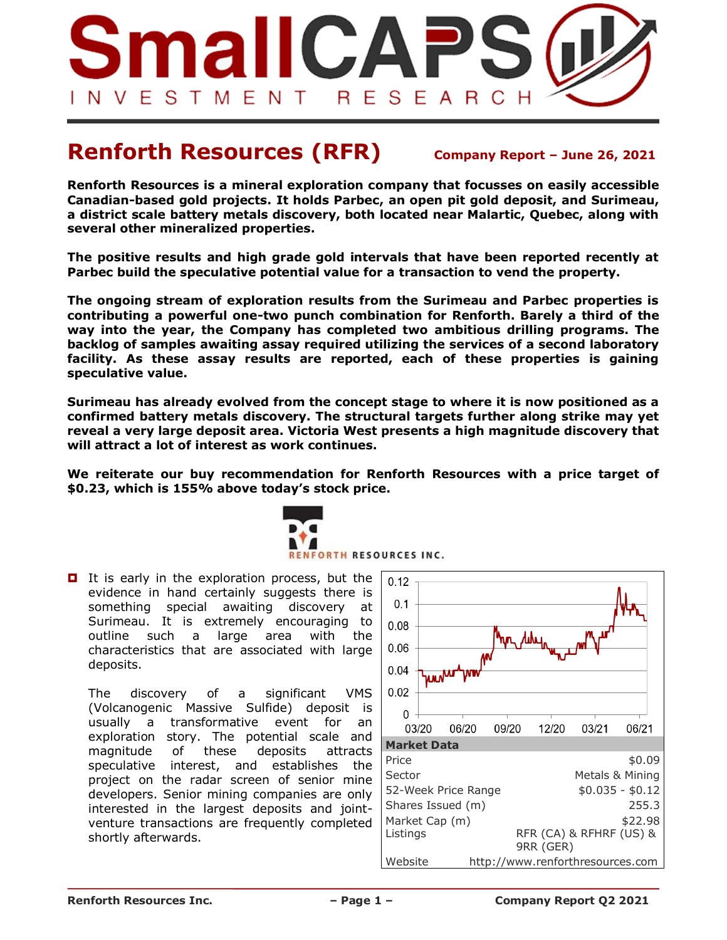

# **Renforth Resources (RFR) Company Report – June 26, 2021**

**Renforth Resources is a mineral exploration company that focusses on easily accessible Canadian-based gold projects. It holds Parbec, an open pit gold deposit, and Surimeau, a district scale battery metals discovery, both located near Malartic, Quebec, along with several other mineralized properties.**

**The positive results and high grade gold intervals that have been reported recently at Parbec build the speculative potential value for a transaction to vend the property.** 

**The ongoing stream of exploration results from the Surimeau and Parbec properties is contributing a powerful one-two punch combination for Renforth. Barely a third of the way into the year, the Company has completed two ambitious drilling programs. The backlog of samples awaiting assay required utilizing the services of a second laboratory facility. As these assay results are reported, each of these properties is gaining speculative value.** 

**Surimeau has already evolved from the concept stage to where it is now positioned as a confirmed battery metals discovery. The structural targets further along strike may yet reveal a very large deposit area. Victoria West presents a high magnitude discovery that will attract a lot of interest as work continues.**

**We reiterate our buy recommendation for Renforth Resources with a price target of \$0.23, which is 155% above today's stock price.** 



 $\blacksquare$  It is early in the exploration process, but the evidence in hand certainly suggests there is something special awaiting discovery at Surimeau. It is extremely encouraging to outline such a large area with the characteristics that are associated with large deposits.

The discovery of a significant VMS (Volcanogenic Massive Sulfide) deposit is usually a transformative event for an exploration story. The potential scale and magnitude of these deposits attracts speculative interest, and establishes the project on the radar screen of senior mine developers. Senior mining companies are only interested in the largest deposits and jointventure transactions are frequently completed shortly afterwards.

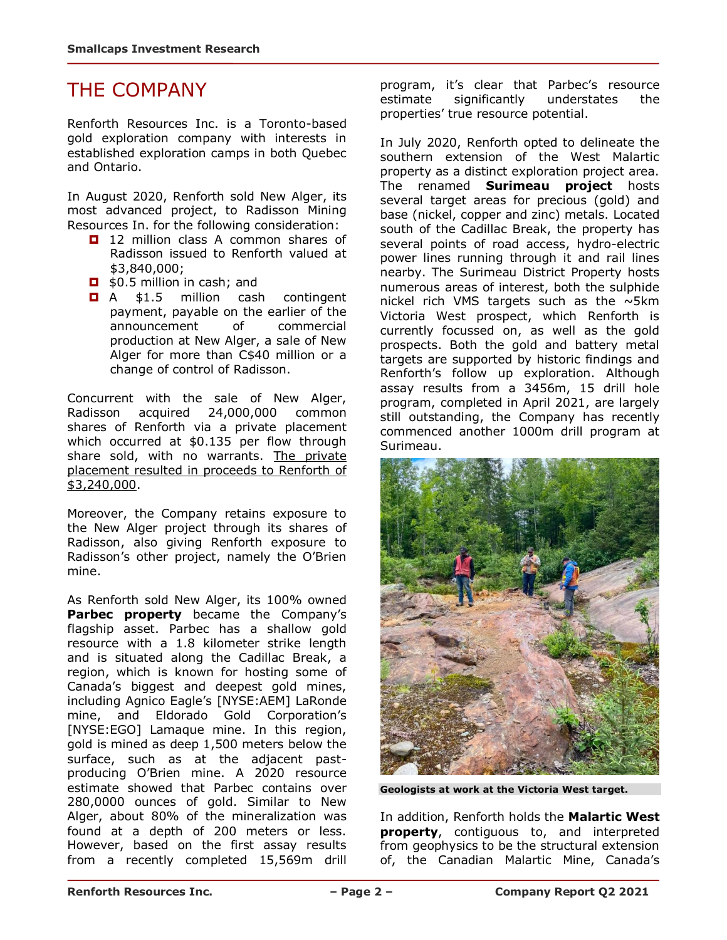# THE COMPANY

Renforth Resources Inc. is a Toronto-based gold exploration company with interests in established exploration camps in both Quebec and Ontario.

In August 2020, Renforth sold New Alger, its most advanced project, to Radisson Mining Resources In. for the following consideration:

- 12 million class A common shares of Radisson issued to Renforth valued at \$3,840,000;
- **D** \$0.5 million in cash; and
- **D** A \$1.5 million cash contingent payment, payable on the earlier of the announcement of commercial production at New Alger, a sale of New Alger for more than C\$40 million or a change of control of Radisson.

Concurrent with the sale of New Alger, Radisson acquired 24,000,000 common shares of Renforth via a private placement which occurred at \$0.135 per flow through share sold, with no warrants. The private placement resulted in proceeds to Renforth of  $$3,240,000.$ 

Moreover, the Company retains exposure to the New Alger project through its shares of Radisson, also giving Renforth exposure to Radisson's other project, namely the O'Brien mine.

As Renforth sold New Alger, its 100% owned **Parbec property** became the Company's flagship asset. Parbec has a shallow gold resource with a 1.8 kilometer strike length and is situated along the Cadillac Break, a region, which is known for hosting some of Canada's biggest and deepest gold mines, including Agnico Eagle's [NYSE:AEM] LaRonde mine, and Eldorado Gold Corporation's [NYSE:EGO] Lamaque mine. In this region, gold is mined as deep 1,500 meters below the surface, such as at the adjacent pastproducing O'Brien mine. A 2020 resource estimate showed that Parbec contains over 280,0000 ounces of gold. Similar to New Alger, about 80% of the mineralization was found at a depth of 200 meters or less. However, based on the first assay results from a recently completed 15,569m drill

program, it's clear that Parbec's resource estimate significantly understates the properties' true resource potential.

In July 2020, Renforth opted to delineate the southern extension of the West Malartic property as a distinct exploration project area. The renamed **Surimeau project** hosts several target areas for precious (gold) and base (nickel, copper and zinc) metals. Located south of the Cadillac Break, the property has several points of road access, hydro-electric power lines running through it and rail lines nearby. The Surimeau District Property hosts numerous areas of interest, both the sulphide nickel rich VMS targets such as the  $\sim$ 5km Victoria West prospect, which Renforth is currently focussed on, as well as the gold prospects. Both the gold and battery metal targets are supported by historic findings and Renforth's follow up exploration. Although assay results from a 3456m, 15 drill hole program, completed in April 2021, are largely still outstanding, the Company has recently commenced another 1000m drill program at Surimeau.



**Geologists at work at the Victoria West target.** 

In addition, Renforth holds the **Malartic West property**, contiguous to, and interpreted from geophysics to be the structural extension of, the Canadian Malartic Mine, Canada's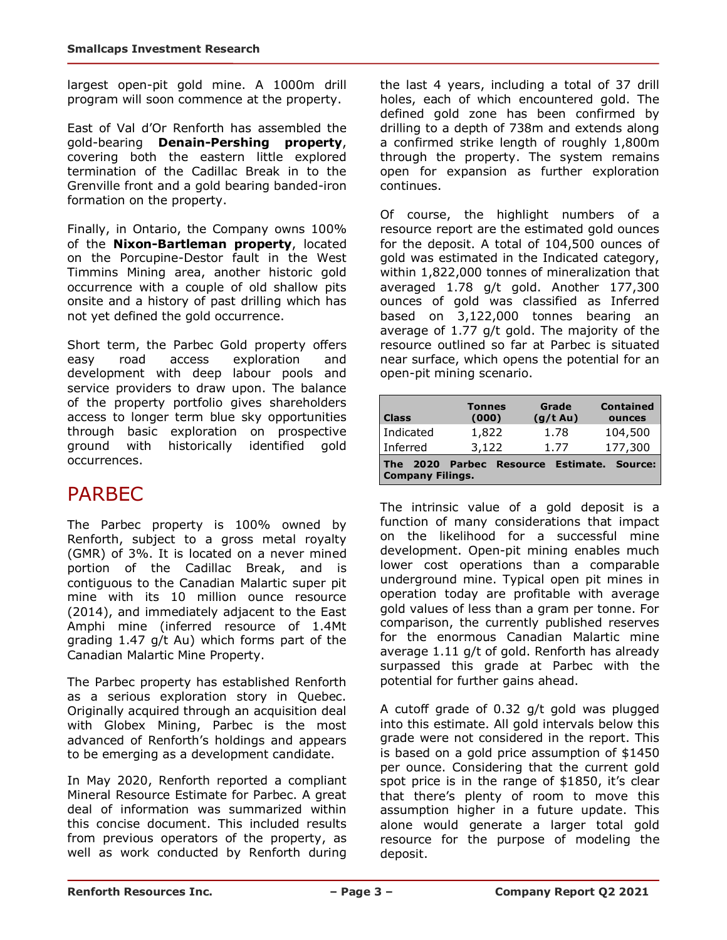largest open-pit gold mine. A 1000m drill program will soon commence at the property.

East of Val d'Or Renforth has assembled the gold-bearing **Denain-Pershing property**, covering both the eastern little explored termination of the Cadillac Break in to the Grenville front and a gold bearing banded-iron formation on the property.

Finally, in Ontario, the Company owns 100% of the **Nixon-Bartleman property**, located on the Porcupine-Destor fault in the West Timmins Mining area, another historic gold occurrence with a couple of old shallow pits onsite and a history of past drilling which has not yet defined the gold occurrence.

Short term, the Parbec Gold property offers easy road access exploration and development with deep labour pools and service providers to draw upon. The balance of the property portfolio gives shareholders access to longer term blue sky opportunities through basic exploration on prospective ground with historically identified gold occurrences.

# PARBEC

The Parbec property is 100% owned by Renforth, subject to a gross metal royalty (GMR) of 3%. It is located on a never mined portion of the Cadillac Break, and is contiguous to the Canadian Malartic super pit mine with its 10 million ounce resource (2014), and immediately adjacent to the East Amphi mine (inferred resource of 1.4Mt grading 1.47 g/t Au) which forms part of the Canadian Malartic Mine Property.

The Parbec property has established Renforth as a serious exploration story in Quebec. Originally acquired through an acquisition deal with Globex Mining, Parbec is the most advanced of Renforth's holdings and appears to be emerging as a development candidate.

In May 2020, Renforth reported a compliant Mineral Resource Estimate for Parbec. A great deal of information was summarized within this concise document. This included results from previous operators of the property, as well as work conducted by Renforth during the last 4 years, including a total of 37 drill holes, each of which encountered gold. The defined gold zone has been confirmed by drilling to a depth of 738m and extends along a confirmed strike length of roughly 1,800m through the property. The system remains open for expansion as further exploration continues.

Of course, the highlight numbers of a resource report are the estimated gold ounces for the deposit. A total of 104,500 ounces of gold was estimated in the Indicated category, within 1,822,000 tonnes of mineralization that averaged 1.78 g/t gold. Another 177,300 ounces of gold was classified as Inferred based on 3,122,000 tonnes bearing an average of 1.77 g/t gold. The majority of the resource outlined so far at Parbec is situated near surface, which opens the potential for an open-pit mining scenario.

| <b>Class</b>                          | <b>Tonnes</b><br>(000)         | Grade<br>(g/t Au) | <b>Contained</b><br>ounces |
|---------------------------------------|--------------------------------|-------------------|----------------------------|
| Indicated                             | 1,822                          | 1.78              | 104,500                    |
| Inferred                              | 3,122                          | 1.77              | 177,300                    |
| <b>The</b><br><b>Company Filings.</b> | 2020 Parbec Resource Estimate. |                   | Source:                    |

The intrinsic value of a gold deposit is a function of many considerations that impact on the likelihood for a successful mine development. Open-pit mining enables much lower cost operations than a comparable underground mine. Typical open pit mines in operation today are profitable with average gold values of less than a gram per tonne. For comparison, the currently published reserves for the enormous Canadian Malartic mine average 1.11 g/t of gold. Renforth has already surpassed this grade at Parbec with the potential for further gains ahead.

A cutoff grade of 0.32 g/t gold was plugged into this estimate. All gold intervals below this grade were not considered in the report. This is based on a gold price assumption of \$1450 per ounce. Considering that the current gold spot price is in the range of \$1850, it's clear that there's plenty of room to move this assumption higher in a future update. This alone would generate a larger total gold resource for the purpose of modeling the deposit.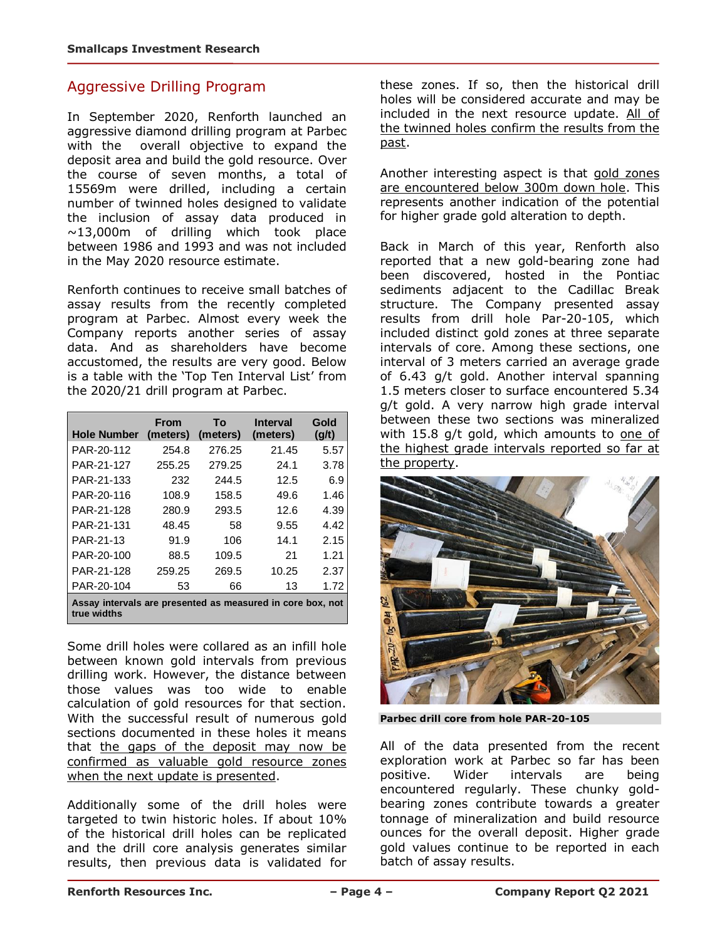#### Aggressive Drilling Program

In September 2020, Renforth launched an aggressive diamond drilling program at Parbec with the overall objective to expand the deposit area and build the gold resource. Over the course of seven months, a total of 15569m were drilled, including a certain number of twinned holes designed to validate the inclusion of assay data produced in ~13,000m of drilling which took place between 1986 and 1993 and was not included in the May 2020 resource estimate.

Renforth continues to receive small batches of assay results from the recently completed program at Parbec. Almost every week the Company reports another series of assay data. And as shareholders have become accustomed, the results are very good. Below is a table with the 'Top Ten Interval List' from the 2020/21 drill program at Parbec.

| <b>Hole Number</b>                                                        | From<br>(meters) | Τo<br>(meters) | <b>Interval</b><br>(meters) | Gold<br>$\left( q/t\right)$ |
|---------------------------------------------------------------------------|------------------|----------------|-----------------------------|-----------------------------|
| PAR-20-112                                                                | 254.8            | 276.25         | 21.45                       | 5.57                        |
| PAR-21-127                                                                | 255.25           | 279.25         | 24.1                        | 3.78                        |
| PAR-21-133                                                                | 232              | 244.5          | 12.5                        | 6.9                         |
| PAR-20-116                                                                | 108.9            | 158.5          | 49.6                        | 1.46                        |
| PAR-21-128                                                                | 280.9            | 293.5          | 12.6                        | 4.39                        |
| PAR-21-131                                                                | 48.45            | 58             | 9.55                        | 4.42                        |
| PAR-21-13                                                                 | 91.9             | 106            | 14.1                        | 2.15                        |
| PAR-20-100                                                                | 88.5             | 109.5          | 21                          | 1.21                        |
| PAR-21-128                                                                | 259.25           | 269.5          | 10.25                       | 2.37                        |
| PAR-20-104                                                                | 53               | 66             | 13                          | 1.72                        |
| Assay intervals are presented as measured in core box, not<br>true widths |                  |                |                             |                             |

Some drill holes were collared as an infill hole between known gold intervals from previous drilling work. However, the distance between those values was too wide to enable calculation of gold resources for that section. With the successful result of numerous gold sections documented in these holes it means that the gaps of the deposit may now be confirmed as valuable gold resource zones when the next update is presented.

Additionally some of the drill holes were targeted to twin historic holes. If about 10% of the historical drill holes can be replicated and the drill core analysis generates similar results, then previous data is validated for

these zones. If so, then the historical drill holes will be considered accurate and may be included in the next resource update. All of the twinned holes confirm the results from the past.

Another interesting aspect is that gold zones are encountered below 300m down hole. This represents another indication of the potential for higher grade gold alteration to depth.

Back in March of this year, Renforth also reported that a new gold-bearing zone had been discovered, hosted in the Pontiac sediments adjacent to the Cadillac Break structure. The Company presented assay results from drill hole Par-20-105, which included distinct gold zones at three separate intervals of core. Among these sections, one interval of 3 meters carried an average grade of 6.43 g/t gold. Another interval spanning 1.5 meters closer to surface encountered 5.34 g/t gold. A very narrow high grade interval between these two sections was mineralized with  $15.8$  g/t gold, which amounts to one of the highest grade intervals reported so far at the property.



**Parbec drill core from hole PAR-20-105**

All of the data presented from the recent exploration work at Parbec so far has been positive. Wider intervals are being encountered regularly. These chunky goldbearing zones contribute towards a greater tonnage of mineralization and build resource ounces for the overall deposit. Higher grade gold values continue to be reported in each batch of assay results.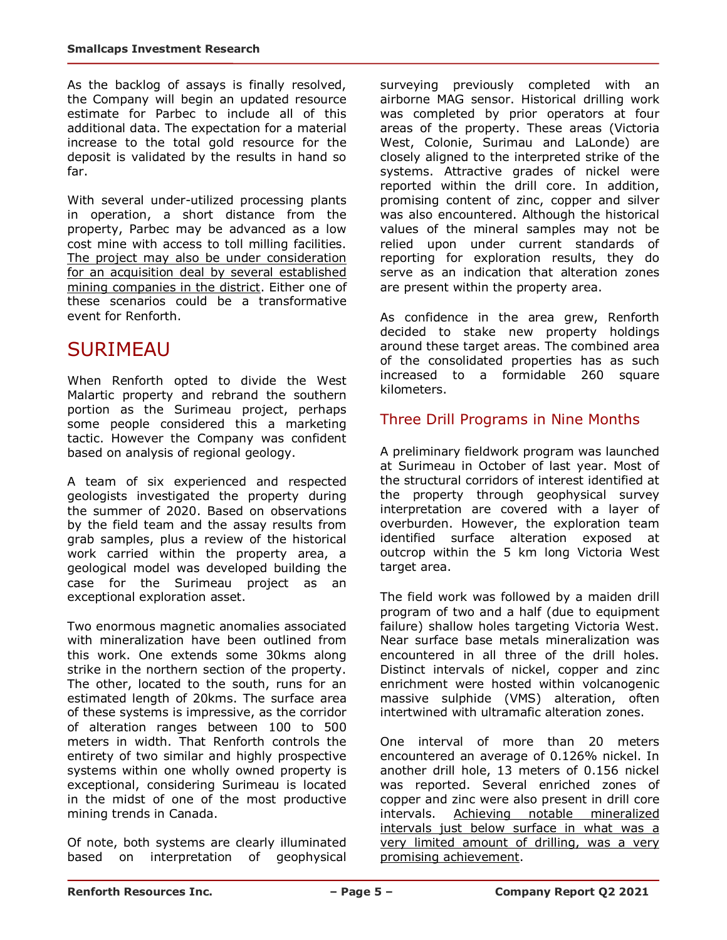As the backlog of assays is finally resolved, the Company will begin an updated resource estimate for Parbec to include all of this additional data. The expectation for a material increase to the total gold resource for the deposit is validated by the results in hand so far.

With several under-utilized processing plants in operation, a short distance from the property, Parbec may be advanced as a low cost mine with access to toll milling facilities. The project may also be under consideration for an acquisition deal by several established mining companies in the district. Either one of these scenarios could be a transformative event for Renforth.

### **SURIMEAU**

When Renforth opted to divide the West Malartic property and rebrand the southern portion as the Surimeau project, perhaps some people considered this a marketing tactic. However the Company was confident based on analysis of regional geology.

A team of six experienced and respected geologists investigated the property during the summer of 2020. Based on observations by the field team and the assay results from grab samples, plus a review of the historical work carried within the property area, a geological model was developed building the case for the Surimeau project as an exceptional exploration asset.

Two enormous magnetic anomalies associated with mineralization have been outlined from this work. One extends some 30kms along strike in the northern section of the property. The other, located to the south, runs for an estimated length of 20kms. The surface area of these systems is impressive, as the corridor of alteration ranges between 100 to 500 meters in width. That Renforth controls the entirety of two similar and highly prospective systems within one wholly owned property is exceptional, considering Surimeau is located in the midst of one of the most productive mining trends in Canada.

Of note, both systems are clearly illuminated based on interpretation of geophysical surveying previously completed with an airborne MAG sensor. Historical drilling work was completed by prior operators at four areas of the property. These areas (Victoria West, Colonie, Surimau and LaLonde) are closely aligned to the interpreted strike of the systems. Attractive grades of nickel were reported within the drill core. In addition, promising content of zinc, copper and silver was also encountered. Although the historical values of the mineral samples may not be relied upon under current standards of reporting for exploration results, they do serve as an indication that alteration zones are present within the property area.

As confidence in the area grew, Renforth decided to stake new property holdings around these target areas. The combined area of the consolidated properties has as such increased to a formidable 260 square kilometers.

### Three Drill Programs in Nine Months

A preliminary fieldwork program was launched at Surimeau in October of last year. Most of the structural corridors of interest identified at the property through geophysical survey interpretation are covered with a layer of overburden. However, the exploration team identified surface alteration exposed at outcrop within the 5 km long Victoria West target area.

The field work was followed by a maiden drill program of two and a half (due to equipment failure) shallow holes targeting Victoria West. Near surface base metals mineralization was encountered in all three of the drill holes. Distinct intervals of nickel, copper and zinc enrichment were hosted within volcanogenic massive sulphide (VMS) alteration, often intertwined with ultramafic alteration zones.

One interval of more than 20 meters encountered an average of 0.126% nickel. In another drill hole, 13 meters of 0.156 nickel was reported. Several enriched zones of copper and zinc were also present in drill core intervals. Achieving notable mineralized intervals just below surface in what was a very limited amount of drilling, was a very promising achievement.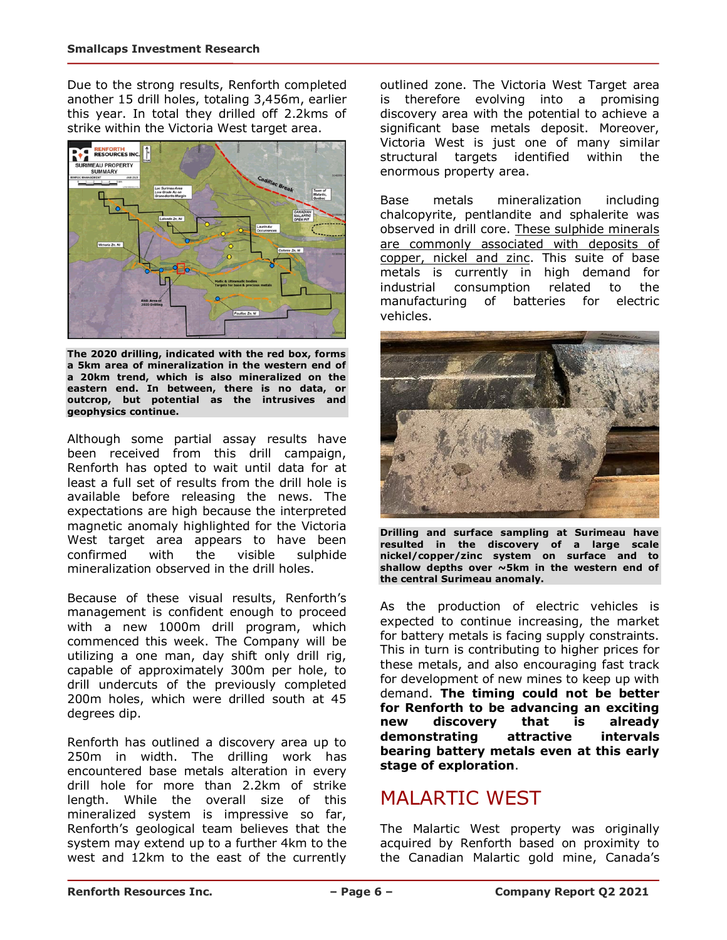Due to the strong results, Renforth completed another 15 drill holes, totaling 3,456m, earlier this year. In total they drilled off 2.2kms of strike within the Victoria West target area.



**The 2020 drilling, indicated with the red box, forms a 5km area of mineralization in the western end of a 20km trend, which is also mineralized on the eastern end. In between, there is no data, or outcrop, but potential as the intrusives and geophysics continue.**

Although some partial assay results have been received from this drill campaign, Renforth has opted to wait until data for at least a full set of results from the drill hole is available before releasing the news. The expectations are high because the interpreted magnetic anomaly highlighted for the Victoria West target area appears to have been<br>confirmed with the visible sulphide confirmed with the visible sulphide mineralization observed in the drill holes.

Because of these visual results, Renforth's management is confident enough to proceed with a new 1000m drill program, which commenced this week. The Company will be utilizing a one man, day shift only drill rig, capable of approximately 300m per hole, to drill undercuts of the previously completed 200m holes, which were drilled south at 45 degrees dip.

Renforth has outlined a discovery area up to 250m in width. The drilling work has encountered base metals alteration in every drill hole for more than 2.2km of strike length. While the overall size of this mineralized system is impressive so far, Renforth's geological team believes that the system may extend up to a further 4km to the west and 12km to the east of the currently outlined zone. The Victoria West Target area is therefore evolving into a promising discovery area with the potential to achieve a significant base metals deposit. Moreover, Victoria West is just one of many similar structural targets identified within the enormous property area.

Base metals mineralization including chalcopyrite, pentlandite and sphalerite was observed in drill core. These sulphide minerals are commonly associated with deposits of copper, nickel and zinc. This suite of base metals is currently in high demand for industrial consumption related to the manufacturing of batteries for electric vehicles.



**Drilling and surface sampling at Surimeau have resulted in the discovery of a large scale nickel/copper/zinc system on surface and to shallow depths over ~5km in the western end of the central Surimeau anomaly.**

As the production of electric vehicles is expected to continue increasing, the market for battery metals is facing supply constraints. This in turn is contributing to higher prices for these metals, and also encouraging fast track for development of new mines to keep up with demand. **The timing could not be better for Renforth to be advancing an exciting new discovery that is already demonstrating attractive intervals bearing battery metals even at this early stage of exploration**.

# MALARTIC WEST

The Malartic West property was originally acquired by Renforth based on proximity to the Canadian Malartic gold mine, Canada's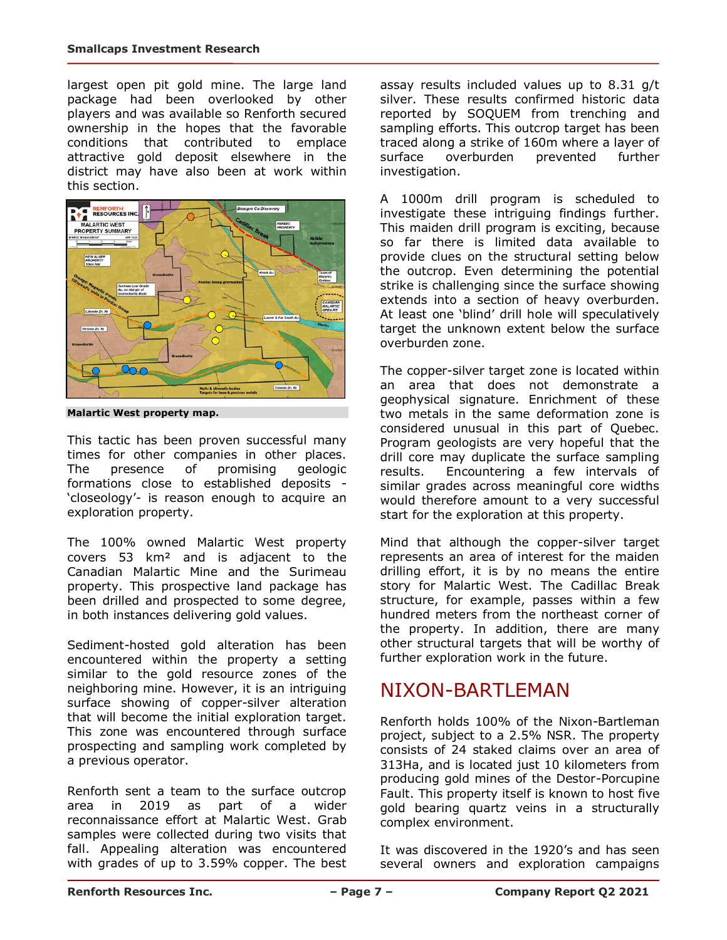largest open pit gold mine. The large land package had been overlooked by other players and was available so Renforth secured ownership in the hopes that the favorable conditions that contributed to emplace attractive gold deposit elsewhere in the district may have also been at work within this section.



**Malartic West property map.** 

This tactic has been proven successful many times for other companies in other places. The presence of promising geologic formations close to established deposits - 'closeology'- is reason enough to acquire an exploration property.

The 100% owned Malartic West property covers 53 km² and is adjacent to the Canadian Malartic Mine and the Surimeau property. This prospective land package has been drilled and prospected to some degree, in both instances delivering gold values.

Sediment-hosted gold alteration has been encountered within the property a setting similar to the gold resource zones of the neighboring mine. However, it is an intriguing surface showing of copper-silver alteration that will become the initial exploration target. This zone was encountered through surface prospecting and sampling work completed by a previous operator.

Renforth sent a team to the surface outcrop area in 2019 as part of a wider reconnaissance effort at Malartic West. Grab samples were collected during two visits that fall. Appealing alteration was encountered with grades of up to 3.59% copper. The best assay results included values up to 8.31 g/t silver. These results confirmed historic data reported by SOQUEM from trenching and sampling efforts. This outcrop target has been traced along a strike of 160m where a layer of surface overburden prevented further investigation.

A 1000m drill program is scheduled to investigate these intriguing findings further. This maiden drill program is exciting, because so far there is limited data available to provide clues on the structural setting below the outcrop. Even determining the potential strike is challenging since the surface showing extends into a section of heavy overburden. At least one 'blind' drill hole will speculatively target the unknown extent below the surface overburden zone.

The copper-silver target zone is located within an area that does not demonstrate a geophysical signature. Enrichment of these two metals in the same deformation zone is considered unusual in this part of Quebec. Program geologists are very hopeful that the drill core may duplicate the surface sampling results. Encountering a few intervals of similar grades across meaningful core widths would therefore amount to a very successful start for the exploration at this property.

Mind that although the copper-silver target represents an area of interest for the maiden drilling effort, it is by no means the entire story for Malartic West. The Cadillac Break structure, for example, passes within a few hundred meters from the northeast corner of the property. In addition, there are many other structural targets that will be worthy of further exploration work in the future.

### NIXON-BARTLEMAN

Renforth holds 100% of the Nixon-Bartleman project, subject to a 2.5% NSR. The property consists of 24 staked claims over an area of 313Ha, and is located just 10 kilometers from producing gold mines of the Destor-Porcupine Fault. This property itself is known to host five gold bearing quartz veins in a structurally complex environment.

It was discovered in the 1920's and has seen several owners and exploration campaigns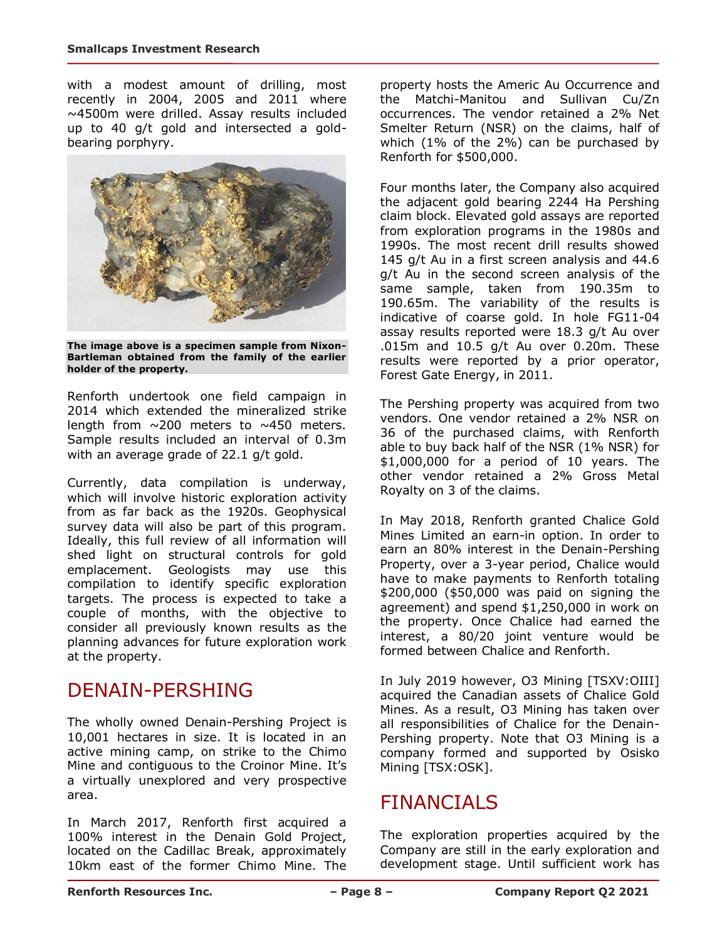with a modest amount of drilling, most recently in 2004, 2005 and 2011 where ~4500m were drilled. Assay results included up to 40 g/t gold and intersected a goldbearing porphyry.



**The image above is a specimen sample from Nixon-Bartleman obtained from the family of the earlier holder of the property.**

Renforth undertook one field campaign in 2014 which extended the mineralized strike length from  $\sim$ 200 meters to  $\sim$ 450 meters. Sample results included an interval of 0.3m with an average grade of 22.1 g/t gold.

Currently, data compilation is underway, which will involve historic exploration activity from as far back as the 1920s. Geophysical survey data will also be part of this program. Ideally, this full review of all information will shed light on structural controls for gold emplacement. Geologists may use this compilation to identify specific exploration targets. The process is expected to take a couple of months, with the objective to consider all previously known results as the planning advances for future exploration work at the property.

### DENAIN-PERSHING

The wholly owned Denain-Pershing Project is 10,001 hectares in size. It is located in an active mining camp, on strike to the Chimo Mine and contiguous to the Croinor Mine. It's a virtually unexplored and very prospective area.

In March 2017, Renforth first acquired a 100% interest in the Denain Gold Project, located on the Cadillac Break, approximately 10km east of the former Chimo Mine. The property hosts the Americ Au Occurrence and the Matchi-Manitou and Sullivan Cu/Zn occurrences. The vendor retained a 2% Net Smelter Return (NSR) on the claims, half of which (1% of the 2%) can be purchased by Renforth for \$500,000.

Four months later, the Company also acquired the adjacent gold bearing 2244 Ha Pershing claim block. Elevated gold assays are reported from exploration programs in the 1980s and 1990s. The most recent drill results showed 145 g/t Au in a first screen analysis and 44.6 g/t Au in the second screen analysis of the same sample, taken from 190.35m to 190.65m. The variability of the results is indicative of coarse gold. In hole FG11-04 assay results reported were 18.3 g/t Au over .015m and 10.5 g/t Au over 0.20m. These results were reported by a prior operator, Forest Gate Energy, in 2011.

The Pershing property was acquired from two vendors. One vendor retained a 2% NSR on 36 of the purchased claims, with Renforth able to buy back half of the NSR (1% NSR) for \$1,000,000 for a period of 10 years. The other vendor retained a 2% Gross Metal Royalty on 3 of the claims.

In May 2018, Renforth granted Chalice Gold Mines Limited an earn-in option. In order to earn an 80% interest in the Denain-Pershing Property, over a 3-year period, Chalice would have to make payments to Renforth totaling \$200,000 (\$50,000 was paid on signing the agreement) and spend \$1,250,000 in work on the property. Once Chalice had earned the interest, a 80/20 joint venture would be formed between Chalice and Renforth.

In July 2019 however, O3 Mining [TSXV:OIII] acquired the Canadian assets of Chalice Gold Mines. As a result, O3 Mining has taken over all responsibilities of Chalice for the Denain-Pershing property. Note that O3 Mining is a company formed and supported by Osisko Mining [TSX:OSK].

# FINANCIALS

The exploration properties acquired by the Company are still in the early exploration and development stage. Until sufficient work has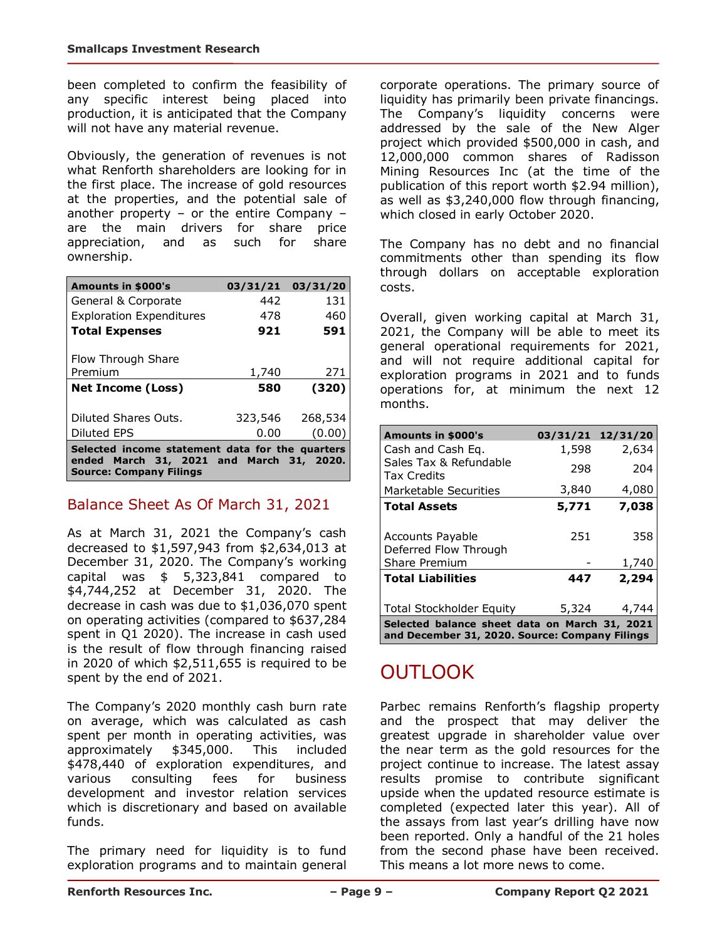been completed to confirm the feasibility of any specific interest being placed into production, it is anticipated that the Company will not have any material revenue.

Obviously, the generation of revenues is not what Renforth shareholders are looking for in the first place. The increase of gold resources at the properties, and the potential sale of another property – or the entire Company – are the main drivers for share price appreciation, and as such for share ownership.

| <b>Amounts in \$000's</b>       | 03/31/21 | 03/31/20 |
|---------------------------------|----------|----------|
| General & Corporate             | 442      | 131      |
| <b>Exploration Expenditures</b> | 478      | 460      |
| <b>Total Expenses</b>           | 921      | 591      |
| Flow Through Share              |          |          |
| Premium                         | 1,740    | 271      |
|                                 |          |          |
| <b>Net Income (Loss)</b>        | 580      | (320)    |
| Diluted Shares Outs.            | 323,546  | 268,534  |
| Diluted EPS                     | 0.00     | (0.00    |

### Balance Sheet As Of March 31, 2021

As at March 31, 2021 the Company's cash decreased to \$1,597,943 from \$2,634,013 at December 31, 2020. The Company's working capital was \$ 5,323,841 compared to \$4,744,252 at December 31, 2020. The decrease in cash was due to \$1,036,070 spent on operating activities (compared to \$637,284 spent in Q1 2020). The increase in cash used is the result of flow through financing raised in 2020 of which \$2,511,655 is required to be spent by the end of 2021.

The Company's 2020 monthly cash burn rate on average, which was calculated as cash spent per month in operating activities, was approximately \$345,000. This included \$478,440 of exploration expenditures, and various consulting fees for business development and investor relation services which is discretionary and based on available funds.

The primary need for liquidity is to fund exploration programs and to maintain general corporate operations. The primary source of liquidity has primarily been private financings. The Company's liquidity concerns were addressed by the sale of the New Alger project which provided \$500,000 in cash, and 12,000,000 common shares of Radisson Mining Resources Inc (at the time of the publication of this report worth \$2.94 million), as well as \$3,240,000 flow through financing, which closed in early October 2020.

The Company has no debt and no financial commitments other than spending its flow through dollars on acceptable exploration costs.

Overall, given working capital at March 31, 2021, the Company will be able to meet its general operational requirements for 2021, and will not require additional capital for exploration programs in 2021 and to funds operations for, at minimum the next 12 months.

| Amounts in \$000's                                                                              | 03/31/21 12/31/20 |       |  |
|-------------------------------------------------------------------------------------------------|-------------------|-------|--|
| Cash and Cash Eq.                                                                               | 1,598             | 2,634 |  |
| Sales Tax & Refundable<br><b>Tax Credits</b>                                                    | 298               | 204   |  |
| Marketable Securities                                                                           | 3,840             | 4,080 |  |
| <b>Total Assets</b>                                                                             | 5,771             | 7,038 |  |
|                                                                                                 |                   |       |  |
| <b>Accounts Payable</b>                                                                         | 251               | 358   |  |
| Deferred Flow Through                                                                           |                   |       |  |
| Share Premium                                                                                   |                   | 1,740 |  |
| <b>Total Liabilities</b>                                                                        | 447               | 2,294 |  |
|                                                                                                 |                   |       |  |
| <b>Total Stockholder Equity</b>                                                                 | 5,324             | 4,744 |  |
| Selected balance sheet data on March 31, 2021<br>and December 31, 2020. Source: Company Filings |                   |       |  |

# OUTLOOK

Parbec remains Renforth's flagship property and the prospect that may deliver the greatest upgrade in shareholder value over the near term as the gold resources for the project continue to increase. The latest assay results promise to contribute significant upside when the updated resource estimate is completed (expected later this year). All of the assays from last year's drilling have now been reported. Only a handful of the 21 holes from the second phase have been received. This means a lot more news to come.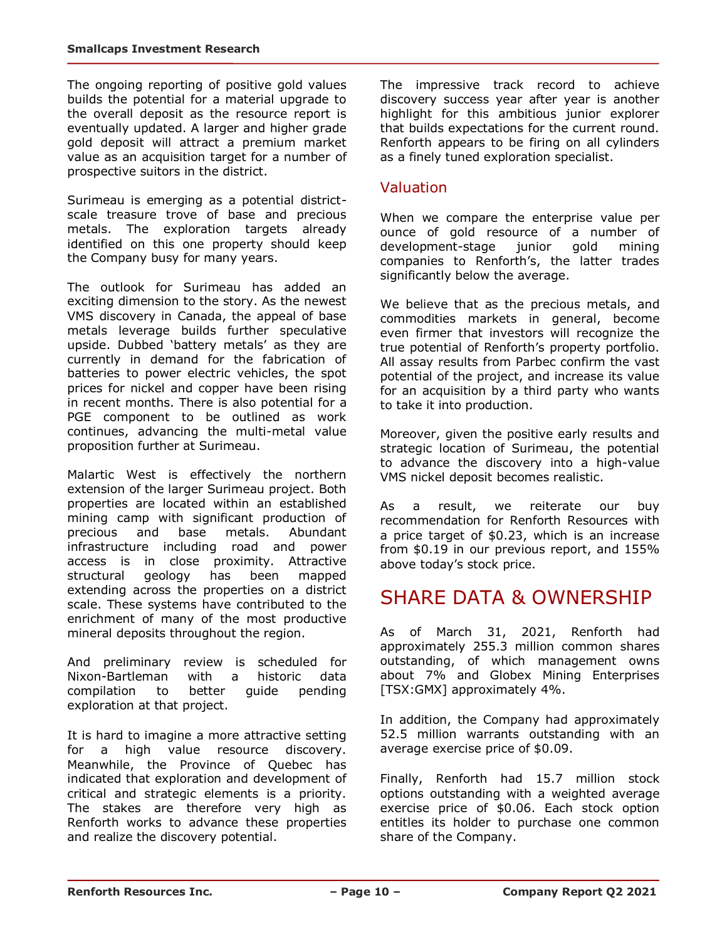The ongoing reporting of positive gold values builds the potential for a material upgrade to the overall deposit as the resource report is eventually updated. A larger and higher grade gold deposit will attract a premium market value as an acquisition target for a number of prospective suitors in the district.

Surimeau is emerging as a potential districtscale treasure trove of base and precious metals. The exploration targets already identified on this one property should keep the Company busy for many years.

The outlook for Surimeau has added an exciting dimension to the story. As the newest VMS discovery in Canada, the appeal of base metals leverage builds further speculative upside. Dubbed 'battery metals' as they are currently in demand for the fabrication of batteries to power electric vehicles, the spot prices for nickel and copper have been rising in recent months. There is also potential for a PGE component to be outlined as work continues, advancing the multi-metal value proposition further at Surimeau.

Malartic West is effectively the northern extension of the larger Surimeau project. Both properties are located within an established mining camp with significant production of precious and base metals. Abundant infrastructure including road and power access is in close proximity. Attractive structural geology has been mapped extending across the properties on a district scale. These systems have contributed to the enrichment of many of the most productive mineral deposits throughout the region.

And preliminary review is scheduled for Nixon-Bartleman with a historic data compilation to better guide pending exploration at that project.

It is hard to imagine a more attractive setting for a high value resource discovery. Meanwhile, the Province of Quebec has indicated that exploration and development of critical and strategic elements is a priority. The stakes are therefore very high as Renforth works to advance these properties and realize the discovery potential.

The impressive track record to achieve discovery success year after year is another highlight for this ambitious junior explorer that builds expectations for the current round. Renforth appears to be firing on all cylinders as a finely tuned exploration specialist.

#### Valuation

When we compare the enterprise value per ounce of gold resource of a number of development-stage junior gold mining companies to Renforth's, the latter trades significantly below the average.

We believe that as the precious metals, and commodities markets in general, become even firmer that investors will recognize the true potential of Renforth's property portfolio. All assay results from Parbec confirm the vast potential of the project, and increase its value for an acquisition by a third party who wants to take it into production.

Moreover, given the positive early results and strategic location of Surimeau, the potential to advance the discovery into a high-value VMS nickel deposit becomes realistic.

As a result, we reiterate our buy recommendation for Renforth Resources with a price target of \$0.23, which is an increase from \$0.19 in our previous report, and 155% above today's stock price.

### SHARE DATA & OWNERSHIP

As of March 31, 2021, Renforth had approximately 255.3 million common shares outstanding, of which management owns about 7% and Globex Mining Enterprises [TSX:GMX] approximately 4%.

In addition, the Company had approximately 52.5 million warrants outstanding with an average exercise price of \$0.09.

Finally, Renforth had 15.7 million stock options outstanding with a weighted average exercise price of \$0.06. Each stock option entitles its holder to purchase one common share of the Company.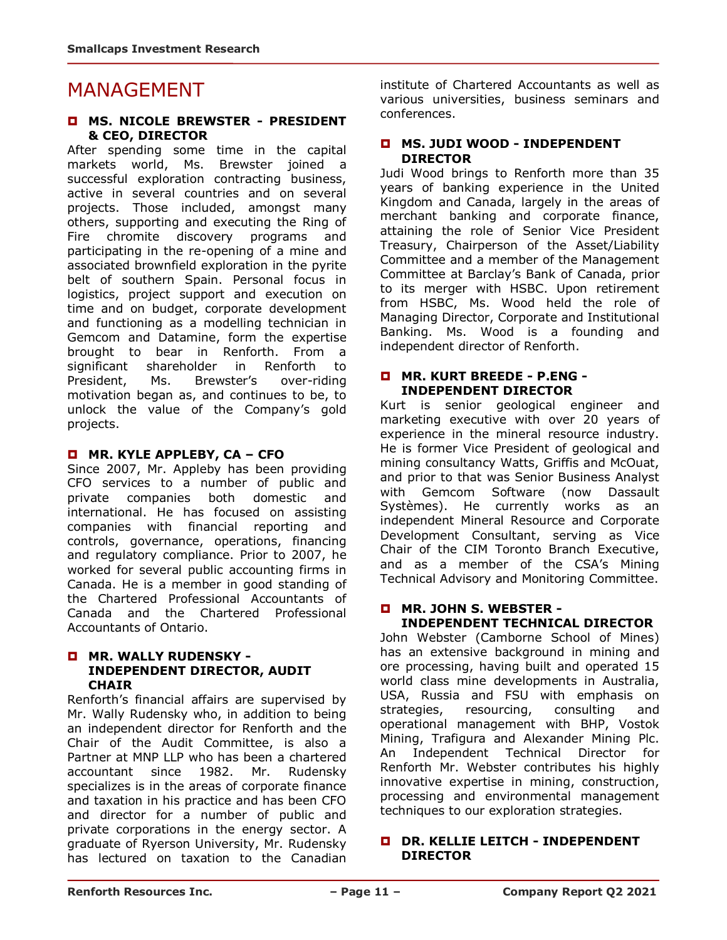### MANAGEMENT

#### **MS. NICOLE BREWSTER - PRESIDENT & CEO, DIRECTOR**

After spending some time in the capital markets world, Ms. Brewster joined a successful exploration contracting business, active in several countries and on several projects. Those included, amongst many others, supporting and executing the Ring of Fire chromite discovery programs and participating in the re-opening of a mine and associated brownfield exploration in the pyrite belt of southern Spain. Personal focus in logistics, project support and execution on time and on budget, corporate development and functioning as a modelling technician in Gemcom and Datamine, form the expertise brought to bear in Renforth. From a significant shareholder in Renforth to President, Ms. Brewster's over-riding motivation began as, and continues to be, to unlock the value of the Company's gold projects.

#### **MR. KYLE APPLEBY, CA – CFO**

Since 2007, Mr. Appleby has been providing CFO services to a number of public and private companies both domestic and international. He has focused on assisting companies with financial reporting and controls, governance, operations, financing and regulatory compliance. Prior to 2007, he worked for several public accounting firms in Canada. He is a member in good standing of the Chartered Professional Accountants of Canada and the Chartered Professional Accountants of Ontario.

#### **MR. WALLY RUDENSKY - INDEPENDENT DIRECTOR, AUDIT CHAIR**

Renforth's financial affairs are supervised by Mr. Wally Rudensky who, in addition to being an independent director for Renforth and the Chair of the Audit Committee, is also a Partner at MNP LLP who has been a chartered accountant since 1982. Mr. Rudensky specializes is in the areas of corporate finance and taxation in his practice and has been CFO and director for a number of public and private corporations in the energy sector. A graduate of Ryerson University, Mr. Rudensky has lectured on taxation to the Canadian institute of Chartered Accountants as well as various universities, business seminars and conferences.

#### **MS. JUDI WOOD - INDEPENDENT DIRECTOR**

Judi Wood brings to Renforth more than 35 years of banking experience in the United Kingdom and Canada, largely in the areas of merchant banking and corporate finance, attaining the role of Senior Vice President Treasury, Chairperson of the Asset/Liability Committee and a member of the Management Committee at Barclay's Bank of Canada, prior to its merger with HSBC. Upon retirement from HSBC, Ms. Wood held the role of Managing Director, Corporate and Institutional Banking. Ms. Wood is a founding and independent director of Renforth.

#### **MR. KURT BREEDE - P.ENG - INDEPENDENT DIRECTOR**

Kurt is senior geological engineer and marketing executive with over 20 years of experience in the mineral resource industry. He is former Vice President of geological and mining consultancy Watts, Griffis and McOuat, and prior to that was Senior Business Analyst with Gemcom Software (now Dassault Systèmes). He currently works as an independent Mineral Resource and Corporate Development Consultant, serving as Vice Chair of the CIM Toronto Branch Executive, and as a member of the CSA's Mining Technical Advisory and Monitoring Committee.

#### **MR. JOHN S. WEBSTER - INDEPENDENT TECHNICAL DIRECTOR**

John Webster (Camborne School of Mines) has an extensive background in mining and ore processing, having built and operated 15 world class mine developments in Australia, USA, Russia and FSU with emphasis on strategies, resourcing, consulting and operational management with BHP, Vostok Mining, Trafigura and Alexander Mining Plc. An Independent Technical Director for Renforth Mr. Webster contributes his highly innovative expertise in mining, construction, processing and environmental management techniques to our exploration strategies.

#### **DR. KELLIE LEITCH - INDEPENDENT DIRECTOR**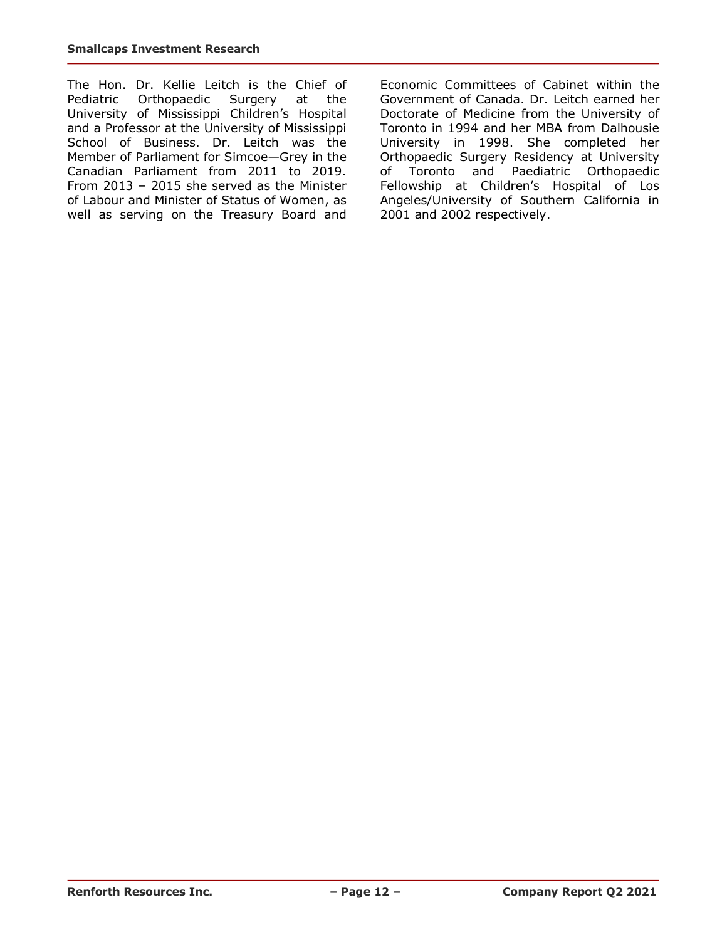The Hon. Dr. Kellie Leitch is the Chief of Pediatric Orthopaedic Surgery at the University of Mississippi Children's Hospital and a Professor at the University of Mississippi School of Business. Dr. Leitch was the Member of Parliament for Simcoe—Grey in the Canadian Parliament from 2011 to 2019. From 2013 – 2015 she served as the Minister of Labour and Minister of Status of Women, as well as serving on the Treasury Board and

Economic Committees of Cabinet within the Government of Canada. Dr. Leitch earned her Doctorate of Medicine from the University of Toronto in 1994 and her MBA from Dalhousie University in 1998. She completed her Orthopaedic Surgery Residency at University of Toronto and Paediatric Orthopaedic Fellowship at Children's Hospital of Los Angeles/University of Southern California in 2001 and 2002 respectively.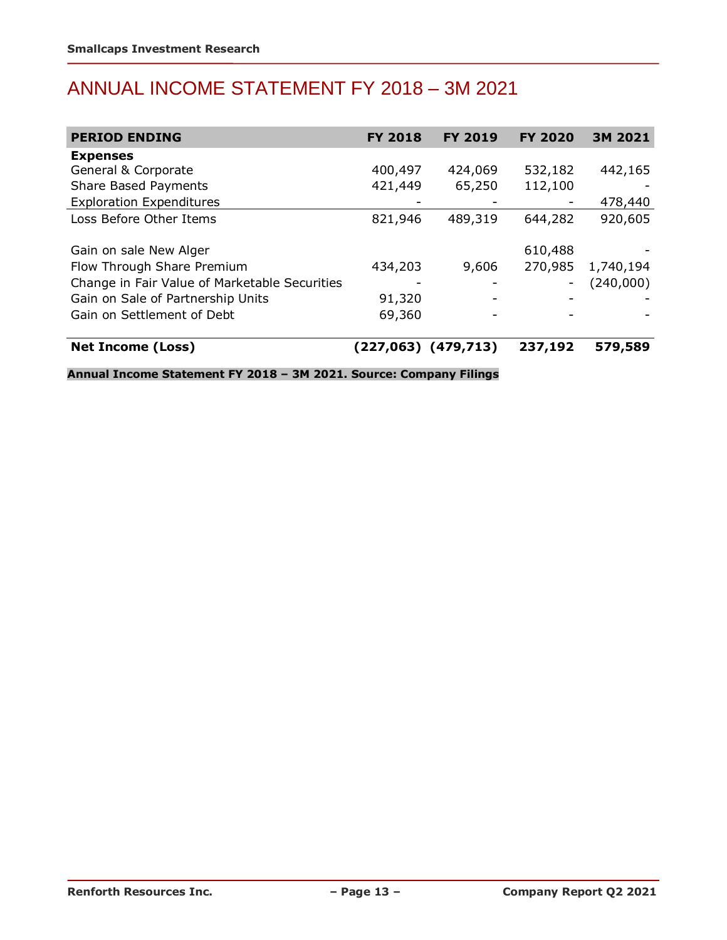# ANNUAL INCOME STATEMENT FY 2018 – 3M 2021

| <b>PERIOD ENDING</b>                          | <b>FY 2018</b> | <b>FY 2019</b>      | <b>FY 2020</b> | 3M 2021   |
|-----------------------------------------------|----------------|---------------------|----------------|-----------|
| <b>Expenses</b>                               |                |                     |                |           |
| General & Corporate                           | 400,497        | 424,069             | 532,182        | 442,165   |
| <b>Share Based Payments</b>                   | 421,449        | 65,250              | 112,100        |           |
| <b>Exploration Expenditures</b>               |                |                     |                | 478,440   |
| Loss Before Other Items                       | 821,946        | 489,319             | 644,282        | 920,605   |
|                                               |                |                     |                |           |
| Gain on sale New Alger                        |                |                     | 610,488        |           |
| Flow Through Share Premium                    | 434,203        | 9,606               | 270,985        | 1,740,194 |
| Change in Fair Value of Marketable Securities |                |                     |                | (240,000) |
| Gain on Sale of Partnership Units             | 91,320         |                     |                |           |
| Gain on Settlement of Debt                    | 69,360         |                     |                |           |
|                                               |                |                     |                |           |
| <b>Net Income (Loss)</b>                      |                | (227,063) (479,713) | 237,192        | 579,589   |

**Annual Income Statement FY 2018 – 3M 2021. Source: Company Filings**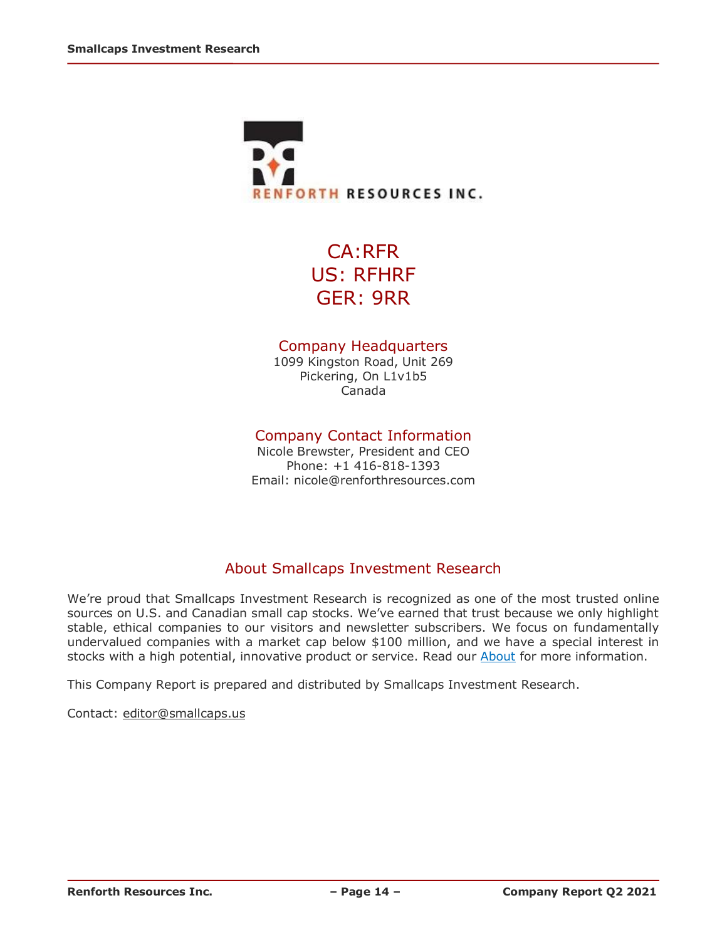

CA:RFR US: RFHRF GER: 9RR

#### Company Headquarters

1099 Kingston Road, Unit 269 Pickering, On L1v1b5 Canada

#### Company Contact Information

Nicole Brewster, President and CEO Phone: +1 416-818-1393 Email: nicole@renforthresources.com

#### About Smallcaps Investment Research

We're proud that Smallcaps Investment Research is recognized as one of the most trusted online sources on U.S. and Canadian small cap stocks. We've earned that trust because we only highlight stable, ethical companies to our visitors and newsletter subscribers. We focus on fundamentally undervalued companies with a market cap below \$100 million, and we have a special interest in stocks with a high potential, innovative product or service. Read our [About](http://smallcaps.us/about) for more information.

This Company Report is prepared and distributed by Smallcaps Investment Research.

Contact: [editor@smallcaps.us](mailto:editor@smallcaps.us)